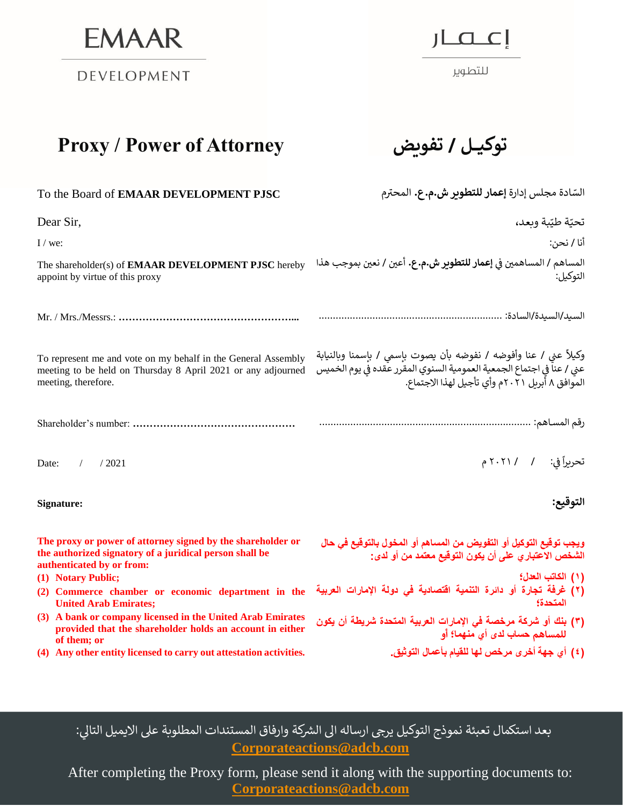**EMAAR** 

DEVELOPMENT

 $J\Box$ 

للتطوير

## **Proxy / Power of Attorney تفويض / توكيـــل**

| To the Board of EMAAR DEVELOPMENT PJSC                                                                                                               | السّادة مجلس إدارة إعمار للتطوير ش.م.ع. المحترم                                                                                                                                               |
|------------------------------------------------------------------------------------------------------------------------------------------------------|-----------------------------------------------------------------------------------------------------------------------------------------------------------------------------------------------|
| Dear Sir,                                                                                                                                            | تحيّة طيّبة وبعد،                                                                                                                                                                             |
| $I /$ we:                                                                                                                                            | أنا / نحن:                                                                                                                                                                                    |
| The shareholder(s) of <b>EMAAR DEVELOPMENT PJSC</b> hereby<br>appoint by virtue of this proxy                                                        | المساهم / المساهمين في إ <b>عمار للتطوير ش.م.ع.</b> أعين / نعين بموجب هذا<br>التوكيل:                                                                                                         |
|                                                                                                                                                      |                                                                                                                                                                                               |
| To represent me and vote on my behalf in the General Assembly<br>meeting to be held on Thursday 8 April 2021 or any adjourned<br>meeting, therefore. | وكيلاً عني / عنا وأفوضه / نفوضه بأن يصوت بإسمي / بإسمنا وبالنيابة<br>عني / عناً في اجتماع الجمعية العمومية السنوي المقرر عقده في يوم الخميس<br>الموافق ٨ أبريل ٢٠٢١م وأي تأجيل لهذا الاجتماع. |
|                                                                                                                                                      |                                                                                                                                                                                               |
| Date:<br>$\sqrt{2}$<br>/2021                                                                                                                         | تحريراً في: / ٢٠٢١/ م                                                                                                                                                                         |
| Signature:                                                                                                                                           | التوقيع:                                                                                                                                                                                      |
| The proxy or power of attorney signed by the shareholder or<br>the authorized signatory of a juridical person shall be<br>authenticated by or from:  | ويجب توقيع التوكيل أو التفويض من المساهم أو المخول بالتوقيع في حال<br>الشخص الاعتبار ، على أن يكون التوقيع معتمد من أو لدى:                                                                   |
| (1) Notary Public;<br>(2) Commerce chamber or economic department in the<br><b>United Arab Emirates;</b>                                             | (١) الكاتب العدل؛<br>(٢) غرفة تجارة أو دائرة التنمية اقتصادية في دولة الإمارات العربية<br>المتحدة؟                                                                                            |
| (3) A bank or company licensed in the United Arab Emirates<br>provided that the shareholder holds an account in either<br>of them; or                | (٣) بنك أو شركة مرخصة في الإمارات العربية المتحدة شريطة أن يكون<br>للمساهم حساب لدى أي منهما؛ أو                                                                                              |
| (4) Any other entity licensed to carry out attestation activities.                                                                                   | (٤) أي جهة أخرى مرخص لها للقيام بأعمال التوثيق.                                                                                                                                               |

بعد استكمال تعبئة نموذج التوكيل يرجى ارساله الى الشركة وارفاق المستندات المطلوبة على الايميل التالي: **[Corporateactions@adcb.com](mailto:Corporateactions@adcb.com)** 

After completing the Proxy form, please send it along with the supporting documents to:  **[Corporateactions@adcb.com](mailto:Corporateactions@adcb.com)**